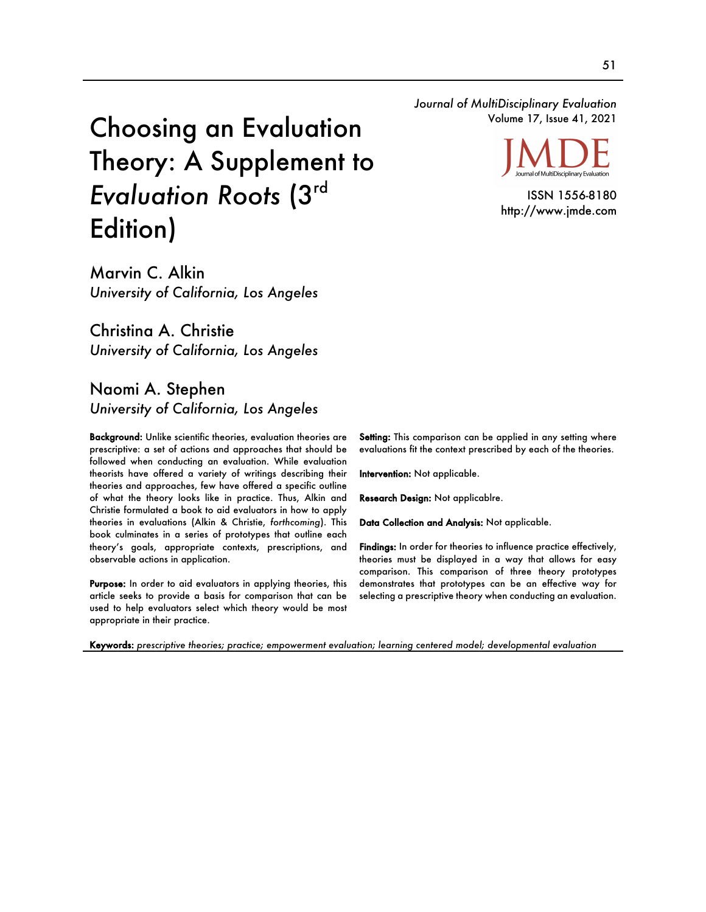*Journal of MultiDisciplinary Evaluation* Volume 17, Issue 41, 2021

# Choosing an Evaluation Theory: A Supplement to *Evaluation Roots* (3rd Edition)

Marvin C. Alkin *University of California, Los Angeles*

Christina A. Christie *University of California, Los Angeles*

# Naomi A. Stephen *University of California, Los Angeles*

Background: Unlike scientific theories, evaluation theories are prescriptive: a set of actions and approaches that should be followed when conducting an evaluation. While evaluation theorists have offered a variety of writings describing their theories and approaches, few have offered a specific outline of what the theory looks like in practice. Thus, Alkin and Christie formulated a book to aid evaluators in how to apply theories in evaluations (Alkin & Christie, *forthcoming*). This book culminates in a series of prototypes that outline each theory's goals, appropriate contexts, prescriptions, and observable actions in application.

Purpose: In order to aid evaluators in applying theories, this article seeks to provide a basis for comparison that can be used to help evaluators select which theory would be most appropriate in their practice.

Setting: This comparison can be applied in any setting where evaluations fit the context prescribed by each of the theories.

Intervention: Not applicable.

Research Design: Not applicablre.

Data Collection and Analysis: Not applicable.

Findings: In order for theories to influence practice effectively, theories must be displayed in a way that allows for easy comparison. This comparison of three theory prototypes demonstrates that prototypes can be an effective way for selecting a prescriptive theory when conducting an evaluation.

Keywords: *prescriptive theories; practice; empowerment evaluation; learning centered model; developmental evaluation*

Journal of MultiDisciplinary Evaluation

ISSN 1556-8180 http://www.jmde.com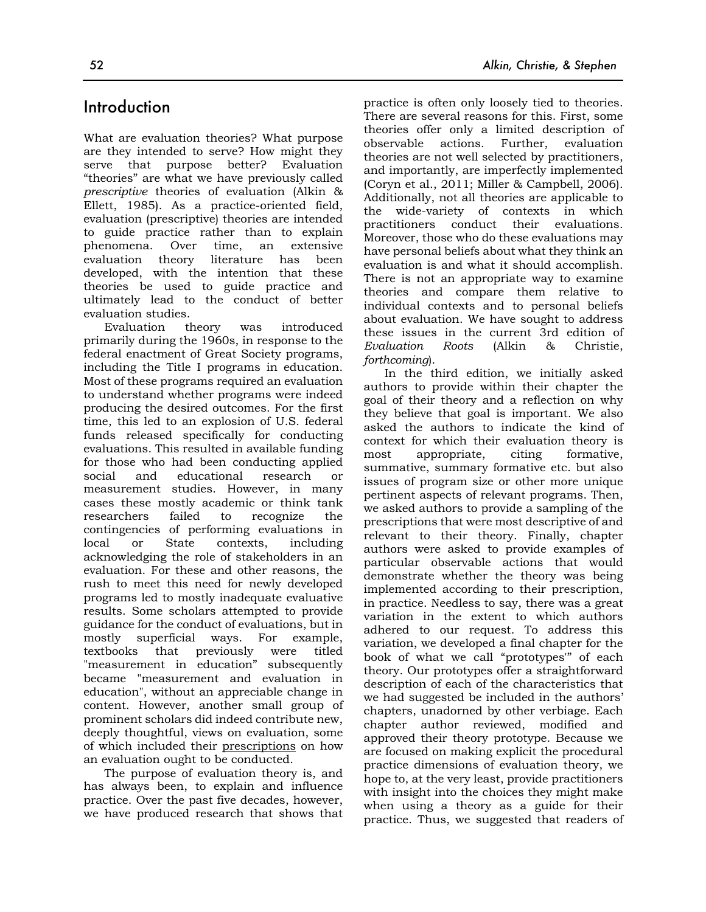## Introduction

What are evaluation theories? What purpose are they intended to serve? How might they serve that purpose better? Evaluation "theories" are what we have previously called *prescriptive* theories of evaluation (Alkin & Ellett, 1985). As a practice-oriented field, evaluation (prescriptive) theories are intended to guide practice rather than to explain phenomena. Over time, an extensive evaluation theory literature has been developed, with the intention that these theories be used to guide practice and ultimately lead to the conduct of better evaluation studies.

Evaluation theory was introduced primarily during the 1960s, in response to the federal enactment of Great Society programs, including the Title I programs in education. Most of these programs required an evaluation to understand whether programs were indeed producing the desired outcomes. For the first time, this led to an explosion of U.S. federal funds released specifically for conducting evaluations. This resulted in available funding for those who had been conducting applied social and educational research or measurement studies. However, in many cases these mostly academic or think tank researchers failed to recognize the contingencies of performing evaluations in local or State contexts, including acknowledging the role of stakeholders in an evaluation. For these and other reasons, the rush to meet this need for newly developed programs led to mostly inadequate evaluative results. Some scholars attempted to provide guidance for the conduct of evaluations, but in mostly superficial ways. For example, textbooks that previously were titled "measurement in education" subsequently became "measurement and evaluation in education", without an appreciable change in content. However, another small group of prominent scholars did indeed contribute new, deeply thoughtful, views on evaluation, some of which included their prescriptions on how an evaluation ought to be conducted.

The purpose of evaluation theory is, and has always been, to explain and influence practice. Over the past five decades, however, we have produced research that shows that practice is often only loosely tied to theories. There are several reasons for this. First, some theories offer only a limited description of observable actions. Further, evaluation theories are not well selected by practitioners, and importantly, are imperfectly implemented (Coryn et al., 2011; Miller & Campbell, 2006). Additionally, not all theories are applicable to the wide-variety of contexts in which practitioners conduct their evaluations. Moreover, those who do these evaluations may have personal beliefs about what they think an evaluation is and what it should accomplish. There is not an appropriate way to examine theories and compare them relative to individual contexts and to personal beliefs about evaluation. We have sought to address these issues in the current 3rd edition of *Evaluation Roots* (Alkin & Christie, *forthcoming*).

In the third edition, we initially asked authors to provide within their chapter the goal of their theory and a reflection on why they believe that goal is important. We also asked the authors to indicate the kind of context for which their evaluation theory is most appropriate, citing formative, summative, summary formative etc. but also issues of program size or other more unique pertinent aspects of relevant programs. Then, we asked authors to provide a sampling of the prescriptions that were most descriptive of and relevant to their theory. Finally, chapter authors were asked to provide examples of particular observable actions that would demonstrate whether the theory was being implemented according to their prescription, in practice. Needless to say, there was a great variation in the extent to which authors adhered to our request. To address this variation, we developed a final chapter for the book of what we call "prototypes'" of each theory. Our prototypes offer a straightforward description of each of the characteristics that we had suggested be included in the authors' chapters, unadorned by other verbiage. Each chapter author reviewed, modified and approved their theory prototype. Because we are focused on making explicit the procedural practice dimensions of evaluation theory, we hope to, at the very least, provide practitioners with insight into the choices they might make when using a theory as a guide for their practice. Thus, we suggested that readers of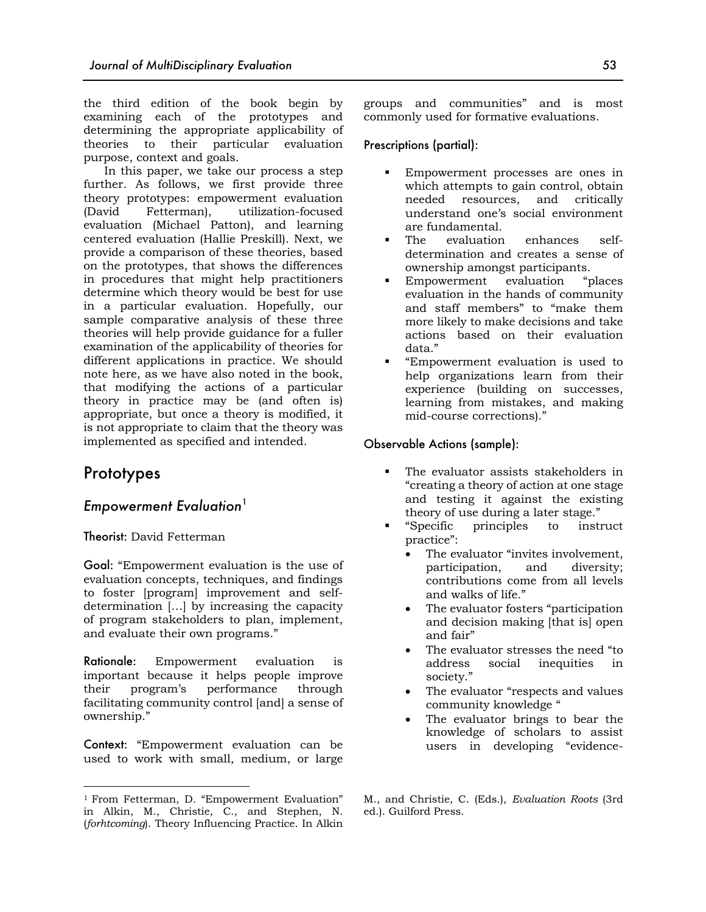the third edition of the book begin by examining each of the prototypes and determining the appropriate applicability of theories to their particular evaluation purpose, context and goals.

In this paper, we take our process a step further. As follows, we first provide three theory prototypes: empowerment evaluation (David Fetterman), utilization-focused evaluation (Michael Patton), and learning centered evaluation (Hallie Preskill). Next, we provide a comparison of these theories, based on the prototypes, that shows the differences in procedures that might help practitioners determine which theory would be best for use in a particular evaluation. Hopefully, our sample comparative analysis of these three theories will help provide guidance for a fuller examination of the applicability of theories for different applications in practice. We should note here, as we have also noted in the book, that modifying the actions of a particular theory in practice may be (and often is) appropriate, but once a theory is modified, it is not appropriate to claim that the theory was implemented as specified and intended.

## Prototypes

## *Empowerment Evaluation*<sup>1</sup>

#### Theorist: David Fetterman

Goal: "Empowerment evaluation is the use of evaluation concepts, techniques, and findings to foster [program] improvement and selfdetermination […] by increasing the capacity of program stakeholders to plan, implement, and evaluate their own programs."

Rationale: Empowerment evaluation is important because it helps people improve their program's performance through facilitating community control [and] a sense of ownership."

Context: "Empowerment evaluation can be used to work with small, medium, or large groups and communities" and is most commonly used for formative evaluations.

#### Prescriptions (partial):

- Empowerment processes are ones in which attempts to gain control, obtain needed resources, and critically understand one's social environment are fundamental.
- The evaluation enhances selfdetermination and creates a sense of ownership amongst participants.
- § Empowerment evaluation "places evaluation in the hands of community and staff members" to "make them more likely to make decisions and take actions based on their evaluation data."
- § "Empowerment evaluation is used to help organizations learn from their experience (building on successes, learning from mistakes, and making mid-course corrections)."

#### Observable Actions (sample):

- The evaluator assists stakeholders in "creating a theory of action at one stage and testing it against the existing theory of use during a later stage."
- § "Specific principles to instruct practice":
	- The evaluator "invites involvement, participation, and diversity; contributions come from all levels and walks of life."
	- The evaluator fosters "participation and decision making [that is] open and fair"
	- The evaluator stresses the need "to address social inequities in society."
	- The evaluator "respects and values community knowledge "
	- The evaluator brings to bear the knowledge of scholars to assist users in developing "evidence-

<sup>1</sup> From Fetterman, D. "Empowerment Evaluation" in Alkin, M., Christie, C., and Stephen, N. (*forhtcoming*). Theory Influencing Practice. In Alkin

M., and Christie, C. (Eds.), *Evaluation Roots* (3rd ed.). Guilford Press.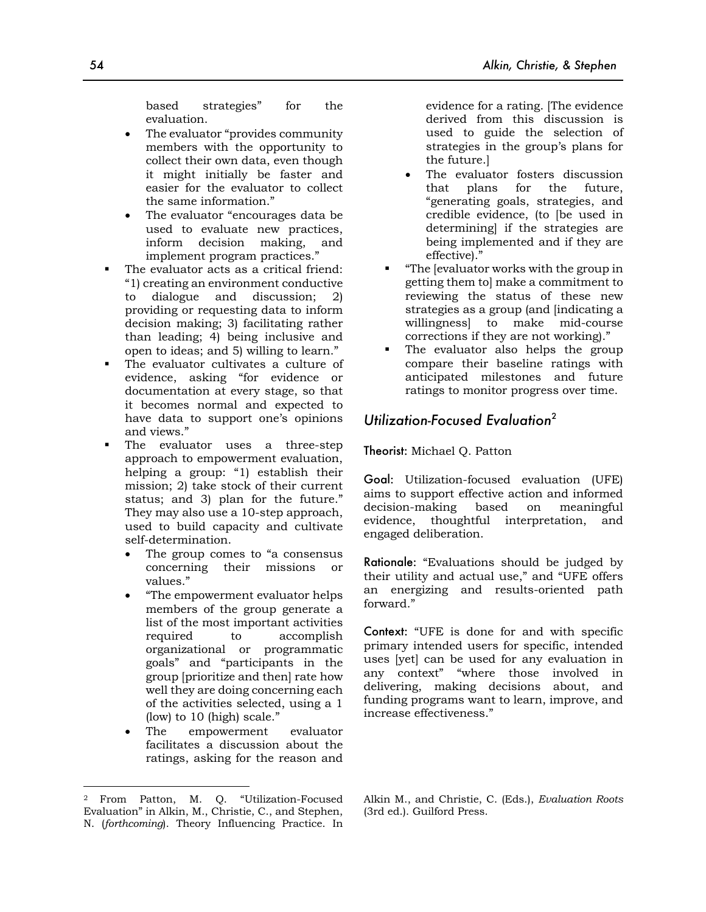based strategies" for the evaluation.

- The evaluator "provides community members with the opportunity to collect their own data, even though it might initially be faster and easier for the evaluator to collect the same information."
- The evaluator "encourages data be used to evaluate new practices, inform decision making, and implement program practices."
- The evaluator acts as a critical friend: "1) creating an environment conductive to dialogue and discussion; 2) providing or requesting data to inform decision making; 3) facilitating rather than leading; 4) being inclusive and open to ideas; and 5) willing to learn."
- The evaluator cultivates a culture of evidence, asking "for evidence or documentation at every stage, so that it becomes normal and expected to have data to support one's opinions and views."
- The evaluator uses a three-step approach to empowerment evaluation, helping a group: "1) establish their mission; 2) take stock of their current status; and 3) plan for the future." They may also use a 10-step approach, used to build capacity and cultivate self-determination.
	- The group comes to "a consensus concerning their missions or values."
	- "The empowerment evaluator helps members of the group generate a list of the most important activities required to accomplish organizational or programmatic goals" and "participants in the group [prioritize and then] rate how well they are doing concerning each of the activities selected, using a 1 (low) to 10 (high) scale."
	- The empowerment evaluator facilitates a discussion about the ratings, asking for the reason and

evidence for a rating. [The evidence derived from this discussion is used to guide the selection of strategies in the group's plans for the future.]

- The evaluator fosters discussion that plans for the future, "generating goals, strategies, and credible evidence, (to [be used in determining] if the strategies are being implemented and if they are effective)."
- § "The [evaluator works with the group in getting them to] make a commitment to reviewing the status of these new strategies as a group (and [indicating a willingness] to make mid-course corrections if they are not working)."
- The evaluator also helps the group compare their baseline ratings with anticipated milestones and future ratings to monitor progress over time.

## *Utilization-Focused Evaluation*<sup>2</sup>

## Theorist: Michael Q. Patton

Goal: Utilization-focused evaluation (UFE) aims to support effective action and informed decision-making based on meaningful evidence, thoughtful interpretation, and engaged deliberation.

Rationale: "Evaluations should be judged by their utility and actual use," and "UFE offers an energizing and results-oriented path forward."

Context: "UFE is done for and with specific primary intended users for specific, intended uses [yet] can be used for any evaluation in any context" "where those involved in delivering, making decisions about, and funding programs want to learn, improve, and increase effectiveness."

<sup>2</sup> From Patton, M. Q. "Utilization-Focused Evaluation" in Alkin, M., Christie, C., and Stephen, N. (*forthcoming*). Theory Influencing Practice. In

Alkin M., and Christie, C. (Eds.), *Evaluation Roots*  (3rd ed.). Guilford Press.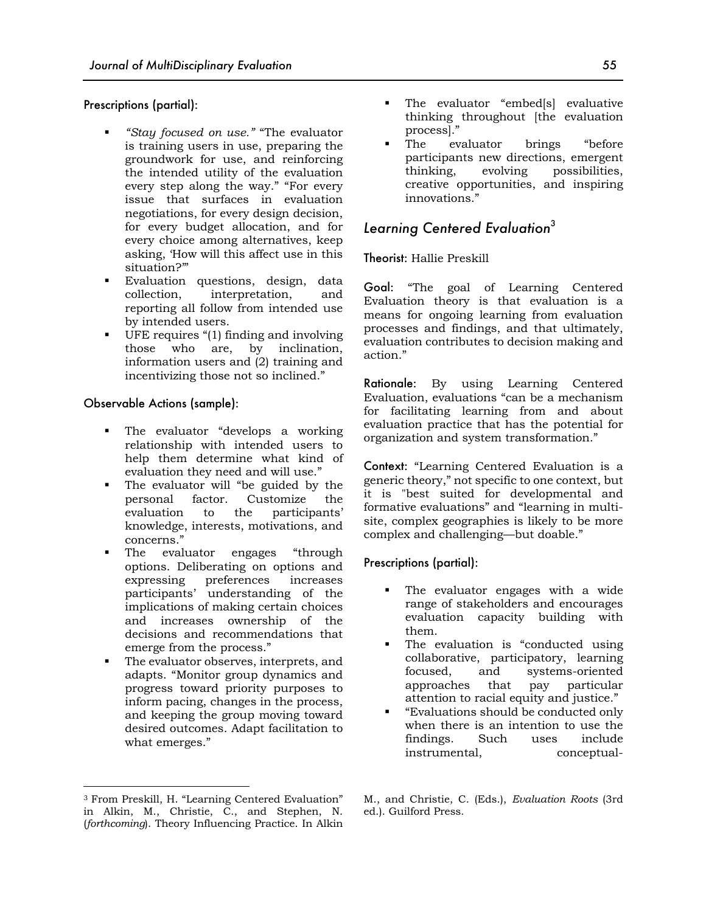#### Prescriptions (partial):

- § *"Stay focused on use."* "The evaluator is training users in use, preparing the groundwork for use, and reinforcing the intended utility of the evaluation every step along the way." "For every issue that surfaces in evaluation negotiations, for every design decision, for every budget allocation, and for every choice among alternatives, keep asking, 'How will this affect use in this situation?'"
- Evaluation questions, design, data collection, interpretation, and reporting all follow from intended use by intended users.
- § UFE requires "(1) finding and involving those who are, by inclination, information users and (2) training and incentivizing those not so inclined."

#### Observable Actions (sample):

- The evaluator "develops a working relationship with intended users to help them determine what kind of evaluation they need and will use."
- The evaluator will "be guided by the personal factor. Customize the evaluation to the participants' knowledge, interests, motivations, and concerns."
- The evaluator engages "through options. Deliberating on options and expressing preferences increases participants' understanding of the implications of making certain choices and increases ownership of the decisions and recommendations that emerge from the process."
- The evaluator observes, interprets, and adapts. "Monitor group dynamics and progress toward priority purposes to inform pacing, changes in the process, and keeping the group moving toward desired outcomes. Adapt facilitation to what emerges."
- The evaluator "embed[s] evaluative thinking throughout [the evaluation process]."
- The evaluator brings "before" participants new directions, emergent thinking, evolving possibilities, creative opportunities, and inspiring innovations."

## *Learning Centered Evaluation*<sup>3</sup>

#### Theorist: Hallie Preskill

Goal: "The goal of Learning Centered Evaluation theory is that evaluation is a means for ongoing learning from evaluation processes and findings, and that ultimately, evaluation contributes to decision making and action."

Rationale: By using Learning Centered Evaluation, evaluations "can be a mechanism for facilitating learning from and about evaluation practice that has the potential for organization and system transformation."

Context: "Learning Centered Evaluation is a generic theory," not specific to one context, but it is "best suited for developmental and formative evaluations" and "learning in multisite, complex geographies is likely to be more complex and challenging—but doable."

#### Prescriptions (partial):

- The evaluator engages with a wide range of stakeholders and encourages evaluation capacity building with them.
- The evaluation is "conducted using collaborative, participatory, learning focused, and systems-oriented approaches that pay particular attention to racial equity and justice."
- § "Evaluations should be conducted only when there is an intention to use the findings. Such uses include instrumental, conceptual-

<sup>3</sup> From Preskill, H. "Learning Centered Evaluation" in Alkin, M., Christie, C., and Stephen, N. (*forthcoming*). Theory Influencing Practice. In Alkin

M., and Christie, C. (Eds.), *Evaluation Roots* (3rd ed.). Guilford Press.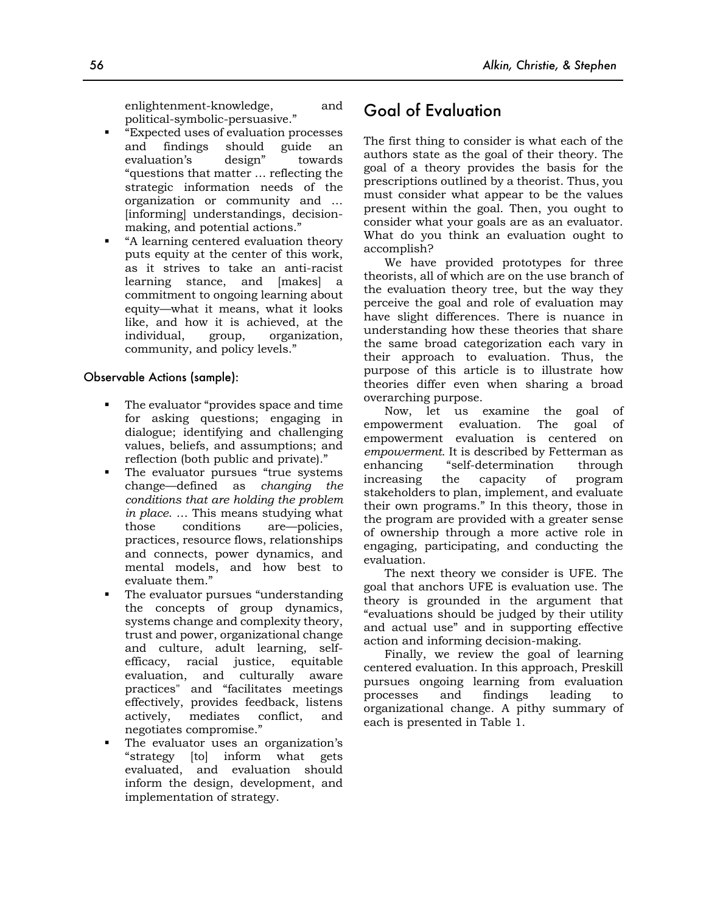enlightenment-knowledge, and political-symbolic-persuasive."

- § "Expected uses of evaluation processes and findings should guide an evaluation's design" towards "questions that matter … reflecting the strategic information needs of the organization or community and … [informing] understandings, decisionmaking, and potential actions."
- § "A learning centered evaluation theory puts equity at the center of this work, as it strives to take an anti-racist learning stance, and [makes] a commitment to ongoing learning about equity—what it means, what it looks like, and how it is achieved, at the individual, group, organization, community, and policy levels."

#### Observable Actions (sample):

- The evaluator "provides space and time for asking questions; engaging in dialogue; identifying and challenging values, beliefs, and assumptions; and reflection (both public and private)."
- The evaluator pursues "true systems change—defined as *changing the conditions that are holding the problem in place*. … This means studying what those conditions are—policies, practices, resource flows, relationships and connects, power dynamics, and mental models, and how best to evaluate them."
- The evaluator pursues "understanding the concepts of group dynamics, systems change and complexity theory, trust and power, organizational change and culture, adult learning, selfefficacy, racial justice, equitable evaluation, and culturally aware practices" and "facilitates meetings effectively, provides feedback, listens actively, mediates conflict, and negotiates compromise."
- § The evaluator uses an organization's "strategy [to] inform what gets evaluated, and evaluation should inform the design, development, and implementation of strategy.

# Goal of Evaluation

The first thing to consider is what each of the authors state as the goal of their theory. The goal of a theory provides the basis for the prescriptions outlined by a theorist. Thus, you must consider what appear to be the values present within the goal. Then, you ought to consider what your goals are as an evaluator. What do you think an evaluation ought to accomplish?

We have provided prototypes for three theorists, all of which are on the use branch of the evaluation theory tree, but the way they perceive the goal and role of evaluation may have slight differences. There is nuance in understanding how these theories that share the same broad categorization each vary in their approach to evaluation. Thus, the purpose of this article is to illustrate how theories differ even when sharing a broad overarching purpose.

Now, let us examine the goal of empowerment evaluation. The goal of empowerment evaluation is centered on *empowerment*. It is described by Fetterman as enhancing "self-determination through increasing the capacity of program stakeholders to plan, implement, and evaluate their own programs." In this theory, those in the program are provided with a greater sense of ownership through a more active role in engaging, participating, and conducting the evaluation.

The next theory we consider is UFE. The goal that anchors UFE is evaluation use. The theory is grounded in the argument that "evaluations should be judged by their utility and actual use" and in supporting effective action and informing decision-making.

Finally, we review the goal of learning centered evaluation. In this approach, Preskill pursues ongoing learning from evaluation processes and findings leading to organizational change. A pithy summary of each is presented in Table 1.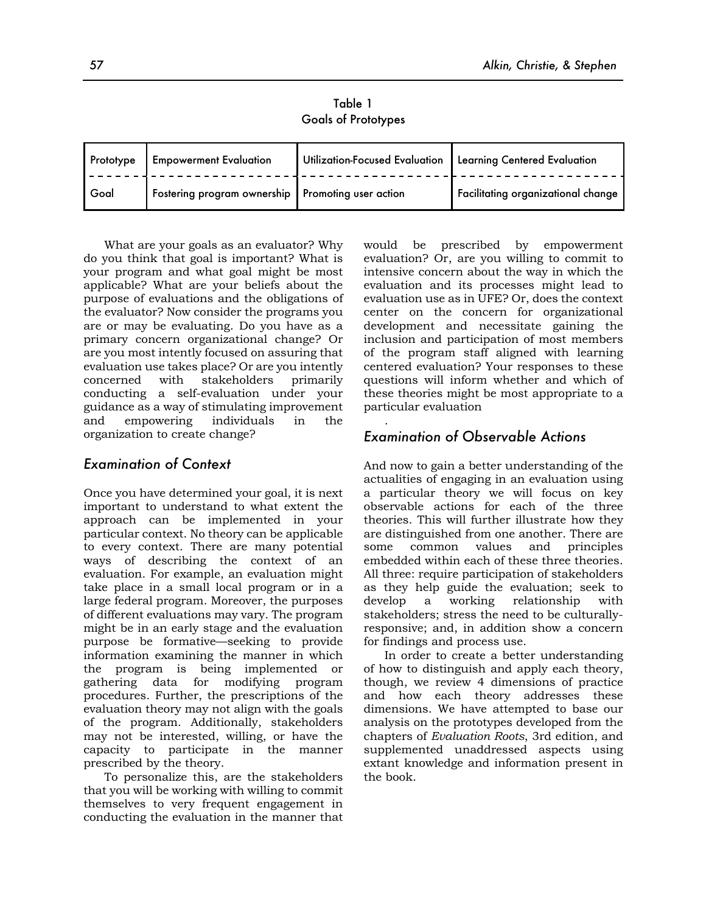Table 1 Goals of Prototypes

| Prototype | <b>Empowerment Evaluation</b>                       | Utilization-Focused Evaluation   Learning Centered Evaluation |                                    |
|-----------|-----------------------------------------------------|---------------------------------------------------------------|------------------------------------|
| Goal      | Fostering program ownership   Promoting user action |                                                               | Facilitating organizational change |

.

What are your goals as an evaluator? Why do you think that goal is important? What is your program and what goal might be most applicable? What are your beliefs about the purpose of evaluations and the obligations of the evaluator? Now consider the programs you are or may be evaluating. Do you have as a primary concern organizational change? Or are you most intently focused on assuring that evaluation use takes place? Or are you intently concerned with stakeholders primarily conducting a self-evaluation under your guidance as a way of stimulating improvement and empowering individuals in the organization to create change?

## *Examination of Context*

Once you have determined your goal, it is next important to understand to what extent the approach can be implemented in your particular context. No theory can be applicable to every context. There are many potential ways of describing the context of an evaluation. For example, an evaluation might take place in a small local program or in a large federal program. Moreover, the purposes of different evaluations may vary. The program might be in an early stage and the evaluation purpose be formative—seeking to provide information examining the manner in which the program is being implemented or gathering data for modifying program procedures. Further, the prescriptions of the evaluation theory may not align with the goals of the program. Additionally, stakeholders may not be interested, willing, or have the capacity to participate in the manner prescribed by the theory.

To personalize this, are the stakeholders that you will be working with willing to commit themselves to very frequent engagement in conducting the evaluation in the manner that would be prescribed by empowerment evaluation? Or, are you willing to commit to intensive concern about the way in which the evaluation and its processes might lead to evaluation use as in UFE? Or, does the context center on the concern for organizational development and necessitate gaining the inclusion and participation of most members of the program staff aligned with learning centered evaluation? Your responses to these questions will inform whether and which of these theories might be most appropriate to a particular evaluation

## *Examination of Observable Actions*

And now to gain a better understanding of the actualities of engaging in an evaluation using a particular theory we will focus on key observable actions for each of the three theories. This will further illustrate how they are distinguished from one another. There are some common values and principles embedded within each of these three theories. All three: require participation of stakeholders as they help guide the evaluation; seek to develop a working relationship with stakeholders; stress the need to be culturallyresponsive; and, in addition show a concern for findings and process use.

In order to create a better understanding of how to distinguish and apply each theory, though, we review 4 dimensions of practice and how each theory addresses these dimensions. We have attempted to base our analysis on the prototypes developed from the chapters of *Evaluation Roots*, 3rd edition, and supplemented unaddressed aspects using extant knowledge and information present in the book.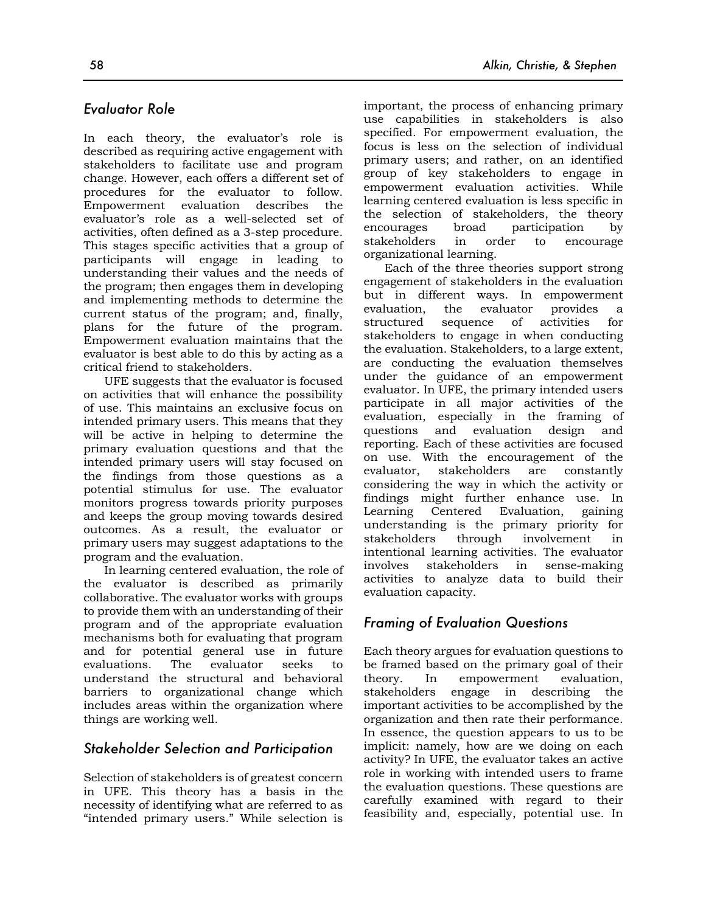## *Evaluator Role*

In each theory, the evaluator's role is described as requiring active engagement with stakeholders to facilitate use and program change. However, each offers a different set of procedures for the evaluator to follow. Empowerment evaluation describes the evaluator's role as a well-selected set of activities, often defined as a 3-step procedure. This stages specific activities that a group of participants will engage in leading to understanding their values and the needs of the program; then engages them in developing and implementing methods to determine the current status of the program; and, finally, plans for the future of the program. Empowerment evaluation maintains that the evaluator is best able to do this by acting as a critical friend to stakeholders.

UFE suggests that the evaluator is focused on activities that will enhance the possibility of use. This maintains an exclusive focus on intended primary users. This means that they will be active in helping to determine the primary evaluation questions and that the intended primary users will stay focused on the findings from those questions as a potential stimulus for use. The evaluator monitors progress towards priority purposes and keeps the group moving towards desired outcomes. As a result, the evaluator or primary users may suggest adaptations to the program and the evaluation.

In learning centered evaluation, the role of the evaluator is described as primarily collaborative. The evaluator works with groups to provide them with an understanding of their program and of the appropriate evaluation mechanisms both for evaluating that program and for potential general use in future evaluations. The evaluator seeks to understand the structural and behavioral barriers to organizational change which includes areas within the organization where things are working well.

## *Stakeholder Selection and Participation*

Selection of stakeholders is of greatest concern in UFE. This theory has a basis in the necessity of identifying what are referred to as "intended primary users." While selection is

important, the process of enhancing primary use capabilities in stakeholders is also specified. For empowerment evaluation, the focus is less on the selection of individual primary users; and rather, on an identified group of key stakeholders to engage in empowerment evaluation activities. While learning centered evaluation is less specific in the selection of stakeholders, the theory encourages broad participation by stakeholders in order to encourage organizational learning.

Each of the three theories support strong engagement of stakeholders in the evaluation but in different ways. In empowerment evaluation, the evaluator provides a structured sequence of activities for stakeholders to engage in when conducting the evaluation. Stakeholders, to a large extent, are conducting the evaluation themselves under the guidance of an empowerment evaluator. In UFE, the primary intended users participate in all major activities of the evaluation, especially in the framing of questions and evaluation design and reporting. Each of these activities are focused on use. With the encouragement of the evaluator, stakeholders are constantly considering the way in which the activity or findings might further enhance use. In Learning Centered Evaluation, gaining understanding is the primary priority for stakeholders through involvement in intentional learning activities. The evaluator involves stakeholders in sense-making activities to analyze data to build their evaluation capacity.

## *Framing of Evaluation Questions*

Each theory argues for evaluation questions to be framed based on the primary goal of their theory. In empowerment evaluation, stakeholders engage in describing the important activities to be accomplished by the organization and then rate their performance. In essence, the question appears to us to be implicit: namely, how are we doing on each activity? In UFE, the evaluator takes an active role in working with intended users to frame the evaluation questions. These questions are carefully examined with regard to their feasibility and, especially, potential use. In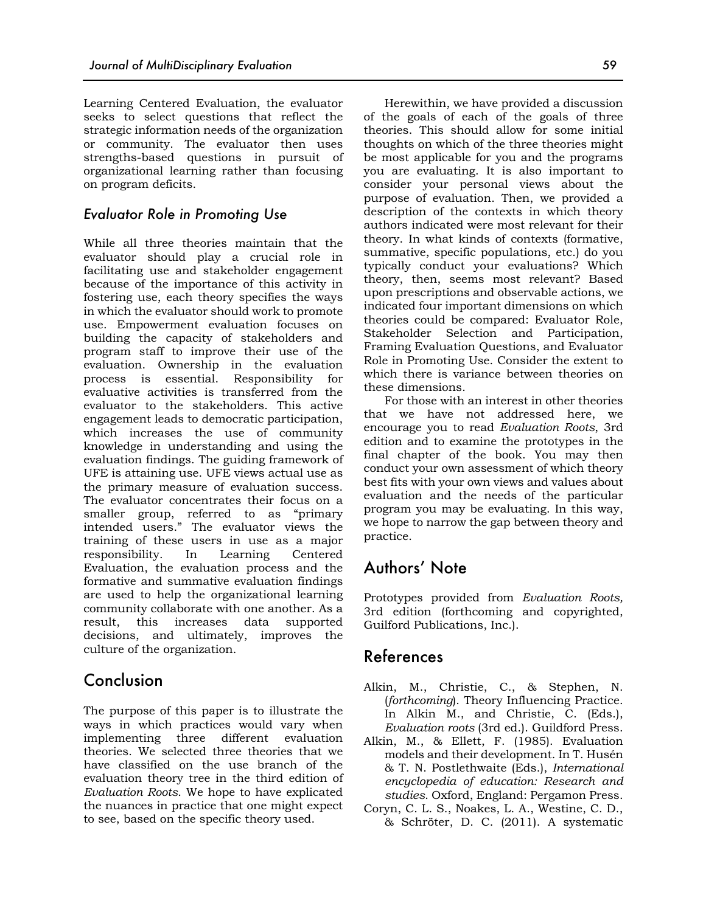Learning Centered Evaluation, the evaluator seeks to select questions that reflect the strategic information needs of the organization or community. The evaluator then uses strengths-based questions in pursuit of organizational learning rather than focusing on program deficits.

## *Evaluator Role in Promoting Use*

While all three theories maintain that the evaluator should play a crucial role in facilitating use and stakeholder engagement because of the importance of this activity in fostering use, each theory specifies the ways in which the evaluator should work to promote use. Empowerment evaluation focuses on building the capacity of stakeholders and program staff to improve their use of the evaluation. Ownership in the evaluation process is essential. Responsibility for evaluative activities is transferred from the evaluator to the stakeholders. This active engagement leads to democratic participation, which increases the use of community knowledge in understanding and using the evaluation findings. The guiding framework of UFE is attaining use. UFE views actual use as the primary measure of evaluation success. The evaluator concentrates their focus on a smaller group, referred to as "primary intended users." The evaluator views the training of these users in use as a major responsibility. In Learning Centered Evaluation, the evaluation process and the formative and summative evaluation findings are used to help the organizational learning community collaborate with one another. As a result, this increases data supported decisions, and ultimately, improves the culture of the organization.

# Conclusion

The purpose of this paper is to illustrate the ways in which practices would vary when implementing three different evaluation theories. We selected three theories that we have classified on the use branch of the evaluation theory tree in the third edition of *Evaluation Roots*. We hope to have explicated the nuances in practice that one might expect to see, based on the specific theory used.

Herewithin, we have provided a discussion of the goals of each of the goals of three theories. This should allow for some initial thoughts on which of the three theories might be most applicable for you and the programs you are evaluating. It is also important to consider your personal views about the purpose of evaluation. Then, we provided a description of the contexts in which theory authors indicated were most relevant for their theory. In what kinds of contexts (formative, summative, specific populations, etc.) do you typically conduct your evaluations? Which theory, then, seems most relevant? Based upon prescriptions and observable actions, we indicated four important dimensions on which theories could be compared: Evaluator Role, Stakeholder Selection and Participation, Framing Evaluation Questions, and Evaluator Role in Promoting Use. Consider the extent to which there is variance between theories on these dimensions.

For those with an interest in other theories that we have not addressed here, we encourage you to read *Evaluation Roots*, 3rd edition and to examine the prototypes in the final chapter of the book. You may then conduct your own assessment of which theory best fits with your own views and values about evaluation and the needs of the particular program you may be evaluating. In this way, we hope to narrow the gap between theory and practice.

# Authors' Note

Prototypes provided from *Evaluation Roots,* 3rd edition (forthcoming and copyrighted, Guilford Publications, Inc.).

# References

- Alkin, M., Christie, C., & Stephen, N. (*forthcoming*). Theory Influencing Practice. In Alkin M., and Christie, C. (Eds.), *Evaluation roots* (3rd ed.). Guildford Press.
- Alkin, M., & Ellett, F. (1985). Evaluation models and their development. In T. Husén & T. N. Postlethwaite (Eds.), *International encyclopedia of education: Research and studies*. Oxford, England: Pergamon Press.
- Coryn, C. L. S., Noakes, L. A., Westine, C. D., & Schröter, D. C. (2011). A systematic